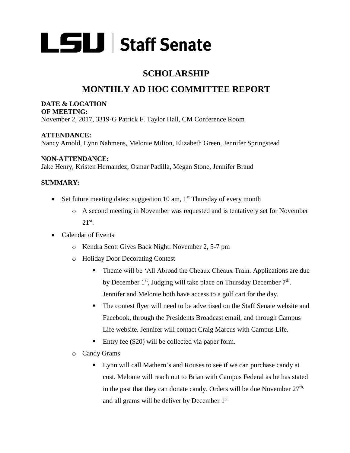

## **SCHOLARSHIP**

# **MONTHLY AD HOC COMMITTEE REPORT**

#### **DATE & LOCATION OF MEETING:**

November 2, 2017, 3319-G Patrick F. Taylor Hall, CM Conference Room

**ATTENDANCE:** Nancy Arnold, Lynn Nahmens, Melonie Milton, Elizabeth Green, Jennifer Springstead

### **NON-ATTENDANCE:**

Jake Henry, Kristen Hernandez, Osmar Padilla, Megan Stone, Jennifer Braud

## **SUMMARY:**

- Set future meeting dates: suggestion 10 am,  $1<sup>st</sup>$  Thursday of every month
	- o A second meeting in November was requested and is tentatively set for November  $21<sup>st</sup>$ .
- Calendar of Events
	- o Kendra Scott Gives Back Night: November 2, 5-7 pm
	- o Holiday Door Decorating Contest
		- Theme will be 'All Abroad the Cheaux Cheaux Train. Applications are due by December  $1<sup>st</sup>$ , Judging will take place on Thursday December  $7<sup>th</sup>$ . Jennifer and Melonie both have access to a golf cart for the day.
		- The contest flyer will need to be advertised on the Staff Senate website and Facebook, through the Presidents Broadcast email, and through Campus Life website. Jennifer will contact Craig Marcus with Campus Life.
		- Entry fee (\$20) will be collected via paper form.
	- o Candy Grams
		- Lynn will call Mathern's and Rouses to see if we can purchase candy at cost. Melonie will reach out to Brian with Campus Federal as he has stated in the past that they can donate candy. Orders will be due November  $27<sup>th</sup>$ , and all grams will be deliver by December 1st